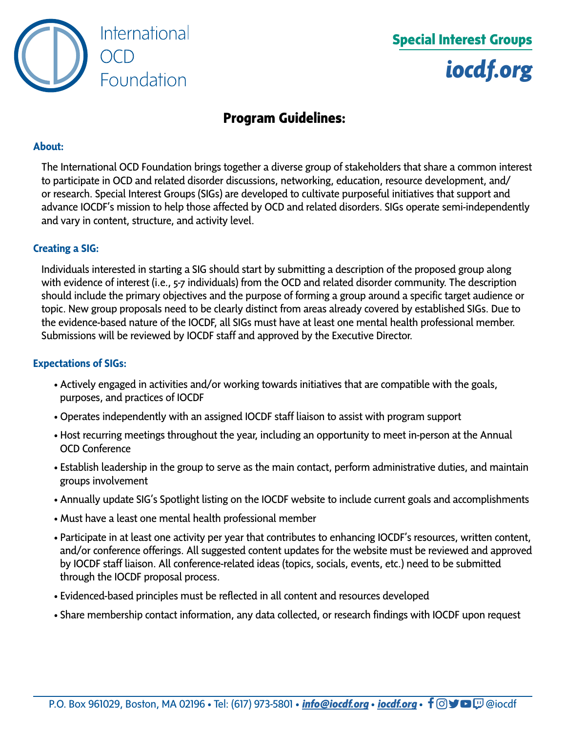

# **Special Interest Groups** *[iocdf.org](https://iocdf.org)*

# **Program Guidelines:**

#### **About:**

The International OCD Foundation brings together a diverse group of stakeholders that share a common interest to participate in OCD and related disorder discussions, networking, education, resource development, and/ or research. Special Interest Groups (SIGs) are developed to cultivate purposeful initiatives that support and advance IOCDF's mission to help those affected by OCD and related disorders. SIGs operate semi-independently and vary in content, structure, and activity level.

#### **Creating a SIG:**

Individuals interested in starting a SIG should start by submitting a description of the proposed group along with evidence of interest (i.e., 5-7 individuals) from the OCD and related disorder community. The description should include the primary objectives and the purpose of forming a group around a specific target audience or topic. New group proposals need to be clearly distinct from areas already covered by established SIGs. Due to the evidence-based nature of the IOCDF, all SIGs must have at least one mental health professional member. Submissions will be reviewed by IOCDF staff and approved by the Executive Director.

#### **Expectations of SIGs:**

- Actively engaged in activities and/or working towards initiatives that are compatible with the goals, purposes, and practices of IOCDF
- Operates independently with an assigned IOCDF staff liaison to assist with program support
- Host recurring meetings throughout the year, including an opportunity to meet in-person at the Annual OCD Conference
- Establish leadership in the group to serve as the main contact, perform administrative duties, and maintain groups involvement
- Annually update SIG's Spotlight listing on the IOCDF website to include current goals and accomplishments
- Must have a least one mental health professional member
- Participate in at least one activity per year that contributes to enhancing IOCDF's resources, written content, and/or conference offerings. All suggested content updates for the website must be reviewed and approved by IOCDF staff liaison. All conference-related ideas (topics, socials, events, etc.) need to be submitted through the IOCDF proposal process.
- Evidenced-based principles must be reflected in all content and resources developed
- Share membership contact information, any data collected, or research findings with IOCDF upon request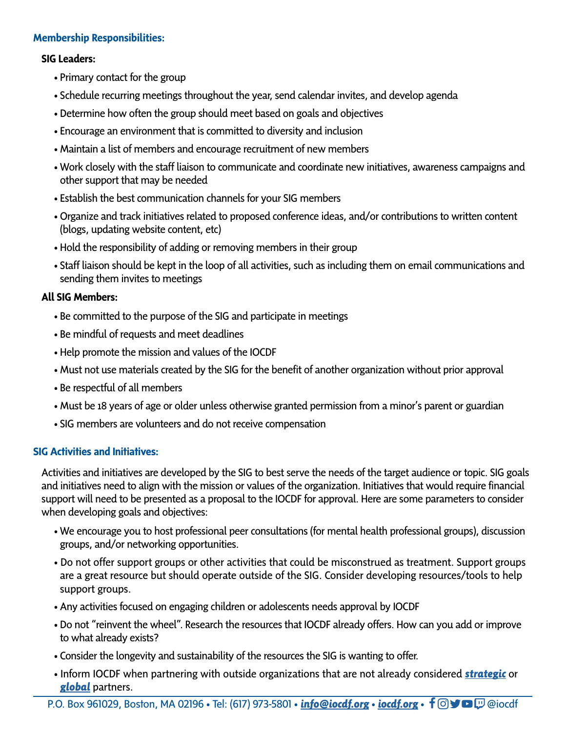## **Membership Responsibilities:**

#### **SIG Leaders:**

- Primary contact for the group
- Schedule recurring meetings throughout the year, send calendar invites, and develop agenda
- Determine how often the group should meet based on goals and objectives
- Encourage an environment that is committed to diversity and inclusion
- Maintain a list of members and encourage recruitment of new members
- Work closely with the staff liaison to communicate and coordinate new initiatives, awareness campaigns and other support that may be needed
- Establish the best communication channels for your SIG members
- Organize and track initiatives related to proposed conference ideas, and/or contributions to written content (blogs, updating website content, etc)
- Hold the responsibility of adding or removing members in their group
- Staff liaison should be kept in the loop of all activities, such as including them on email communications and sending them invites to meetings

## **All SIG Members:**

- Be committed to the purpose of the SIG and participate in meetings
- Be mindful of requests and meet deadlines
- Help promote the mission and values of the IOCDF
- Must not use materials created by the SIG for the benefit of another organization without prior approval
- Be respectful of all members
- Must be 18 years of age or older unless otherwise granted permission from a minor's parent or guardian
- SIG members are volunteers and do not receive compensation

#### **SIG Activities and Initiatives:**

Activities and initiatives are developed by the SIG to best serve the needs of the target audience or topic. SIG goals and initiatives need to align with the mission or values of the organization. Initiatives that would require financial support will need to be presented as a proposal to the IOCDF for approval. Here are some parameters to consider when developing goals and objectives:

- We encourage you to host professional peer consultations (for mental health professional groups), discussion groups, and/or networking opportunities.
- Do not offer support groups or other activities that could be misconstrued as treatment. Support groups are a great resource but should operate outside of the SIG. Consider developing resources/tools to help support groups.
- Any activities focused on engaging children or adolescents needs approval by IOCDF
- Do not "reinvent the wheel". Research the resources that IOCDF already offers. How can you add or improve to what already exists?
- Consider the longevity and sustainability of the resources the SIG is wanting to offer.
- Inform IOCDF when partnering with outside organizations that are not already considered *[strategic](https://iocdf.org/our-partners/)* or *[global](https://iocdf.org/about/global-partners/)* partners.